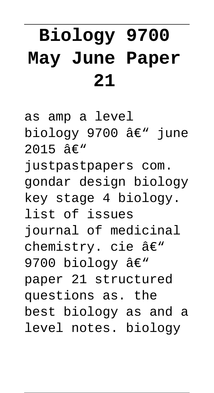# **Biology 9700 May June Paper 21**

as amp a level biology 9700 â€" june  $2015$   $\hat{a} \in W$ justpastpapers com. gondar design biology key stage 4 biology. list of issues journal of medicinal chemistry. cie â€" 9700 biology  $\hat{a} \in \mathbb{N}$ paper 21 structured questions as. the best biology as and a level notes. biology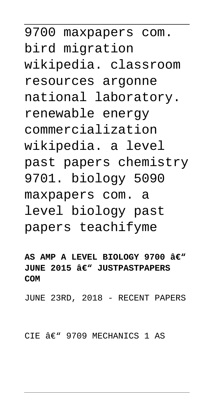9700 maxpapers com. bird migration wikipedia. classroom resources argonne national laboratory. renewable energy commercialization wikipedia. a level past papers chemistry 9701. biology 5090 maxpapers com. a level biology past papers teachifyme

AS AMP A LEVEL BIOLOGY 9700 â€<sup>w</sup> **JUNE 2015 â€" JUSTPASTPAPERS COM**

JUNE 23RD, 2018 - RECENT PAPERS

CIE  $\hat{a}\in$ " 9709 MECHANICS 1 AS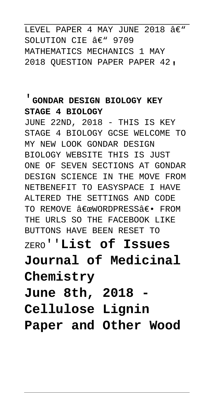LEVEL PAPER 4 MAY JUNE 2018  $A \in \mathbb{R}^n$ SOLUTION CIE  $A \in \mathbb{C}$  9709 MATHEMATICS MECHANICS 1 MAY 2018 QUESTION PAPER PAPER 42'

#### '**GONDAR DESIGN BIOLOGY KEY STAGE 4 BIOLOGY**

JUNE 22ND, 2018 - THIS IS KEY STAGE 4 BIOLOGY GCSE WELCOME TO MY NEW LOOK GONDAR DESIGN BIOLOGY WEBSITE THIS IS JUST ONE OF SEVEN SECTIONS AT GONDAR DESIGN SCIENCE IN THE MOVE FROM NETBENEFIT TO EASYSPACE I HAVE ALTERED THE SETTINGS AND CODE TO REMOVE <del>A€C</del>WORDPRESSA€• FROM THE URLS SO THE FACEBOOK LIKE BUTTONS HAVE BEEN RESET TO ZERO''**List of Issues Journal of Medicinal Chemistry June 8th, 2018 - Cellulose Lignin**

**Paper and Other Wood**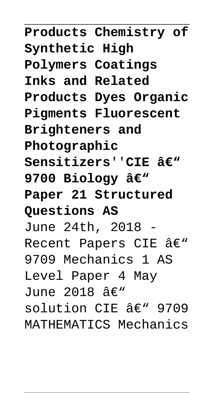**Products Chemistry of Synthetic High Polymers Coatings Inks and Related Products Dyes Organic Pigments Fluorescent Brighteners and Photographic**  $S$ ensitizers''CIE â€<sup>w</sup> 9700 Biology â€<sup>w</sup> **Paper 21 Structured Questions AS** June 24th, 2018 - Recent Papers CIE  $\hat{a} \in \mathbb{N}$ 9709 Mechanics 1 AS Level Paper 4 May June 2018  $A\in$ " solution CIE  $A \in \mathbb{C}$  9709 MATHEMATICS Mechanics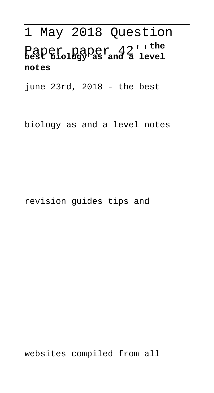# 1 May 2018 Question Paper paper 42''**the best biology as and a level notes**

june 23rd, 2018 - the best

biology as and a level notes

revision guides tips and

websites compiled from all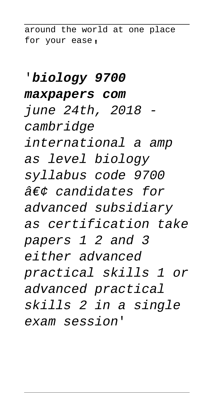around the world at one place for your ease,

#### '**biology 9700**

#### **maxpapers com**

june 24th, 2018 cambridge international a amp as level biology syllabus code 9700  $\hat{a}\hat{\epsilon}$ candidates for advanced subsidiary as certification take papers 1 2 and 3 either advanced practical skills 1 or advanced practical skills 2 in a single exam session'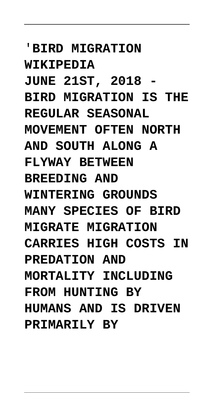'**BIRD MIGRATION WIKIPEDIA JUNE 21ST, 2018 - BIRD MIGRATION IS THE REGULAR SEASONAL MOVEMENT OFTEN NORTH AND SOUTH ALONG A FLYWAY BETWEEN BREEDING AND WINTERING GROUNDS MANY SPECIES OF BIRD MIGRATE MIGRATION CARRIES HIGH COSTS IN PREDATION AND MORTALITY INCLUDING FROM HUNTING BY HUMANS AND IS DRIVEN PRIMARILY BY**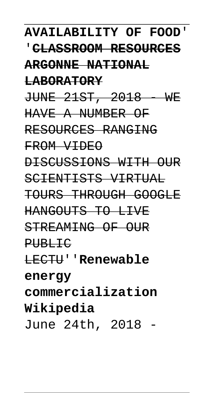**LABORATORY** JUNE 21ST, 2018 WE HAVE A NUMBER OF RESOURCES RANGING FROM VIDEO DISCUSSIONS WITH OUR SCIENTISTS VIRTUAL TOURS THROUGH GOOGLE HANGOUTS TO LIVE STREAMING OF OUR PUBLIC LECTU''**Renewable energy commercialization Wikipedia** June 24th, 2018 -

**AVAILABILITY OF FOOD**' '**CLASSROOM RESOURCES**

**ARGONNE NATIONAL**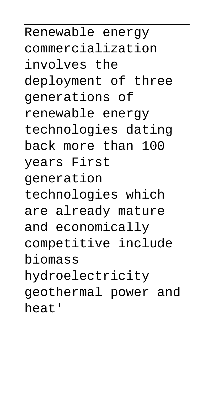Renewable energy commercialization involves the deployment of three generations of renewable energy technologies dating back more than 100 years First generation technologies which are already mature and economically competitive include biomass hydroelectricity geothermal power and heat'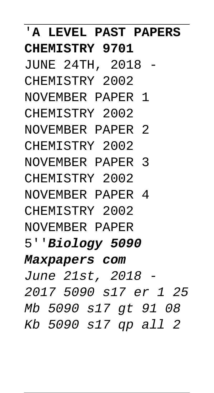## '**A LEVEL PAST PAPERS CHEMISTRY 9701**

- JUNE 24TH, 2018 CHEMISTRY 2002
- NOVEMBER PAPER 1 CHEMISTRY 2002
- NOVEMBER PAPER 2 CHEMISTRY 2002
- NOVEMBER PAPER 3 CHEMISTRY 2002
- NOVEMBER PAPER 4 CHEMISTRY 2002
- NOVEMBER PAPER
- 5''**Biology 5090**

### **Maxpapers com**

June 21st, 2018 - 2017 5090 s17 er 1 25 Mb 5090 s17 gt 91 08 Kb 5090 s17 qp all 2